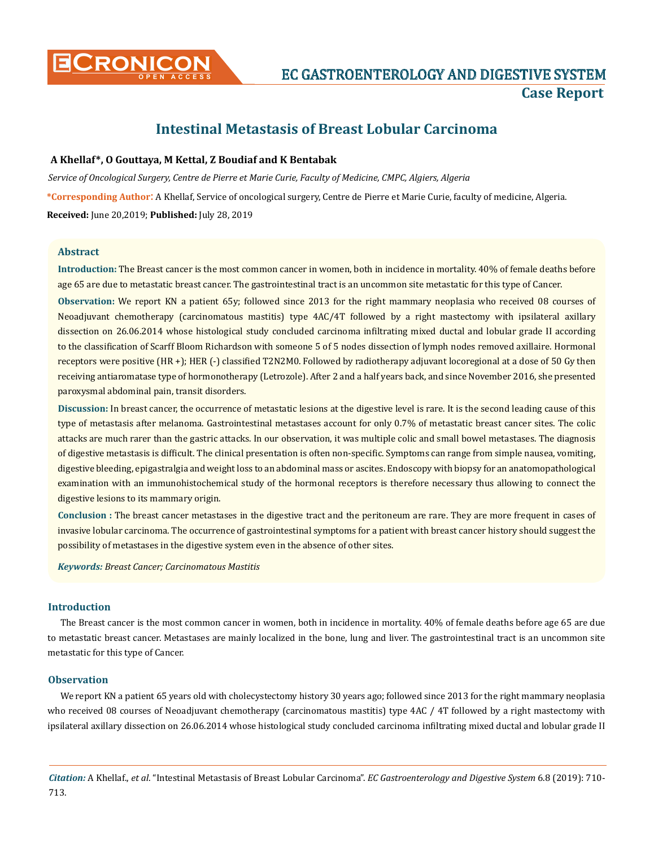

# **Intestinal Metastasis of Breast Lobular Carcinoma**

# **A Khellaf\*, O Gouttaya, M Kettal, Z Boudiaf and K Bentabak**

*Service of Oncological Surgery, Centre de Pierre et Marie Curie, Faculty of Medicine, CMPC, Algiers, Algeria* **\*Corresponding Author**: A Khellaf, Service of oncological surgery, Centre de Pierre et Marie Curie, faculty of medicine, Algeria. **Received:** June 20,2019; **Published:** July 28, 2019

#### **Abstract**

**Introduction:** The Breast cancer is the most common cancer in women, both in incidence in mortality. 40% of female deaths before age 65 are due to metastatic breast cancer. The gastrointestinal tract is an uncommon site metastatic for this type of Cancer.

**Observation:** We report KN a patient 65y; followed since 2013 for the right mammary neoplasia who received 08 courses of Neoadjuvant chemotherapy (carcinomatous mastitis) type 4AC/4T followed by a right mastectomy with ipsilateral axillary dissection on 26.06.2014 whose histological study concluded carcinoma infiltrating mixed ductal and lobular grade II according to the classification of Scarff Bloom Richardson with someone 5 of 5 nodes dissection of lymph nodes removed axillaire. Hormonal receptors were positive (HR +); HER (-) classified T2N2M0. Followed by radiotherapy adjuvant locoregional at a dose of 50 Gy then receiving antiaromatase type of hormonotherapy (Letrozole). After 2 and a half years back, and since November 2016, she presented paroxysmal abdominal pain, transit disorders.

**Discussion:** In breast cancer, the occurrence of metastatic lesions at the digestive level is rare. It is the second leading cause of this type of metastasis after melanoma. Gastrointestinal metastases account for only 0.7% of metastatic breast cancer sites. The colic attacks are much rarer than the gastric attacks. In our observation, it was multiple colic and small bowel metastases. The diagnosis of digestive metastasis is difficult. The clinical presentation is often non-specific. Symptoms can range from simple nausea, vomiting, digestive bleeding, epigastralgia and weight loss to an abdominal mass or ascites. Endoscopy with biopsy for an anatomopathological examination with an immunohistochemical study of the hormonal receptors is therefore necessary thus allowing to connect the digestive lesions to its mammary origin.

**Conclusion :** The breast cancer metastases in the digestive tract and the peritoneum are rare. They are more frequent in cases of invasive lobular carcinoma. The occurrence of gastrointestinal symptoms for a patient with breast cancer history should suggest the possibility of metastases in the digestive system even in the absence of other sites.

*Keywords: Breast Cancer; Carcinomatous Mastitis*

# **Introduction**

The Breast cancer is the most common cancer in women, both in incidence in mortality. 40% of female deaths before age 65 are due to metastatic breast cancer. Metastases are mainly localized in the bone, lung and liver. The gastrointestinal tract is an uncommon site metastatic for this type of Cancer.

## **Observation**

We report KN a patient 65 years old with cholecystectomy history 30 years ago; followed since 2013 for the right mammary neoplasia who received 08 courses of Neoadjuvant chemotherapy (carcinomatous mastitis) type 4AC / 4T followed by a right mastectomy with ipsilateral axillary dissection on 26.06.2014 whose histological study concluded carcinoma infiltrating mixed ductal and lobular grade II

*Citation:* A Khellaf., *et al*. "Intestinal Metastasis of Breast Lobular Carcinoma". *EC Gastroenterology and Digestive System* 6.8 (2019): 710- 713.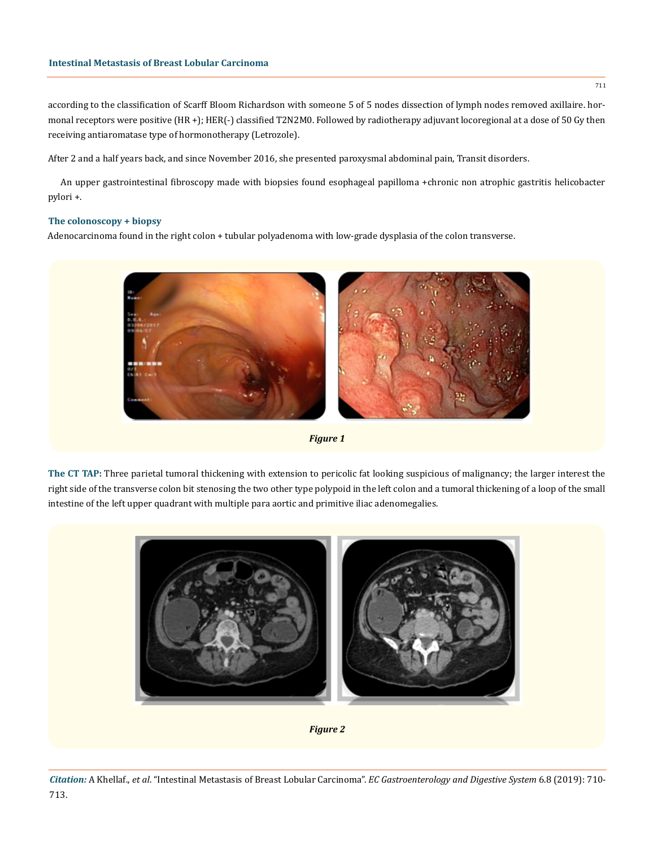according to the classification of Scarff Bloom Richardson with someone 5 of 5 nodes dissection of lymph nodes removed axillaire. hormonal receptors were positive (HR +); HER(-) classified T2N2M0. Followed by radiotherapy adjuvant locoregional at a dose of 50 Gy then receiving antiaromatase type of hormonotherapy (Letrozole).

After 2 and a half years back, and since November 2016, she presented paroxysmal abdominal pain, Transit disorders.

An upper gastrointestinal fibroscopy made with biopsies found esophageal papilloma +chronic non atrophic gastritis helicobacter pylori +.

## **The colonoscopy + biopsy**

Adenocarcinoma found in the right colon + tubular polyadenoma with low-grade dysplasia of the colon transverse.



*Figure 1* 

**The CT TAP:** Three parietal tumoral thickening with extension to pericolic fat looking suspicious of malignancy; the larger interest the right side of the transverse colon bit stenosing the two other type polypoid in the left colon and a tumoral thickening of a loop of the small intestine of the left upper quadrant with multiple para aortic and primitive iliac adenomegalies.



*Figure 2*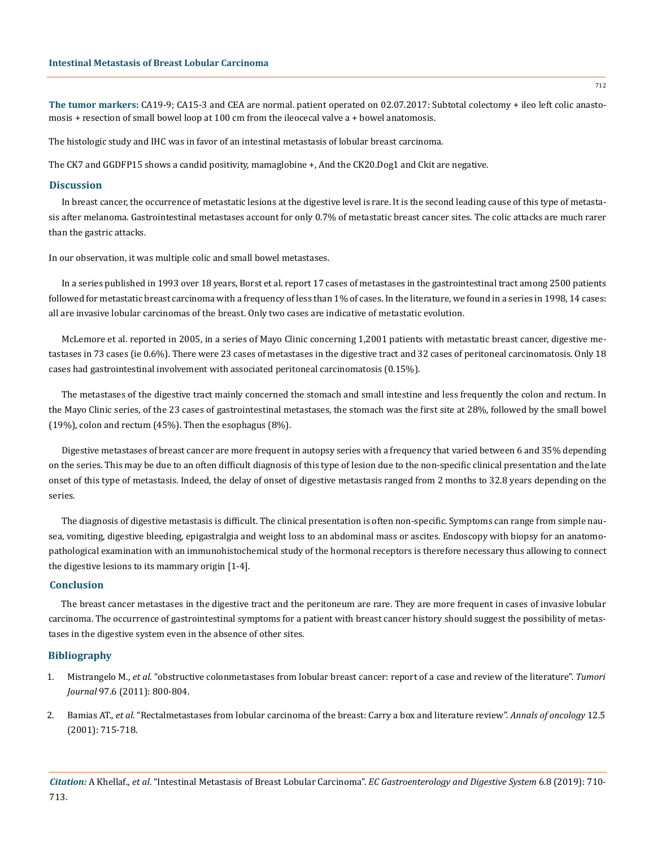**The tumor markers:** CA19-9; CA15-3 and CEA are normal. patient operated on 02.07.2017: Subtotal colectomy + ileo left colic anastomosis + resection of small bowel loop at 100 cm from the ileocecal valve a + bowel anatomosis.

The histologic study and IHC was in favor of an intestinal metastasis of lobular breast carcinoma.

The CK7 and GGDFP15 shows a candid positivity, mamaglobine +, And the CK20.Dog1 and Ckit are negative.

#### **Discussion**

In breast cancer, the occurrence of metastatic lesions at the digestive level is rare. It is the second leading cause of this type of metastasis after melanoma. Gastrointestinal metastases account for only 0.7% of metastatic breast cancer sites. The colic attacks are much rarer than the gastric attacks.

In our observation, it was multiple colic and small bowel metastases.

In a series published in 1993 over 18 years, Borst et al. report 17 cases of metastases in the gastrointestinal tract among 2500 patients followed for metastatic breast carcinoma with a frequency of less than 1% of cases. In the literature, we found in a series in 1998, 14 cases: all are invasive lobular carcinomas of the breast. Only two cases are indicative of metastatic evolution.

McLemore et al. reported in 2005, in a series of Mayo Clinic concerning 1,2001 patients with metastatic breast cancer, digestive metastases in 73 cases (ie 0.6%). There were 23 cases of metastases in the digestive tract and 32 cases of peritoneal carcinomatosis. Only 18 cases had gastrointestinal involvement with associated peritoneal carcinomatosis (0.15%).

The metastases of the digestive tract mainly concerned the stomach and small intestine and less frequently the colon and rectum. In the Mayo Clinic series, of the 23 cases of gastrointestinal metastases, the stomach was the first site at 28%, followed by the small bowel (19%), colon and rectum (45%). Then the esophagus (8%).

Digestive metastases of breast cancer are more frequent in autopsy series with a frequency that varied between 6 and 35% depending on the series. This may be due to an often difficult diagnosis of this type of lesion due to the non-specific clinical presentation and the late onset of this type of metastasis. Indeed, the delay of onset of digestive metastasis ranged from 2 months to 32.8 years depending on the series.

The diagnosis of digestive metastasis is difficult. The clinical presentation is often non-specific. Symptoms can range from simple nausea, vomiting, digestive bleeding, epigastralgia and weight loss to an abdominal mass or ascites. Endoscopy with biopsy for an anatomopathological examination with an immunohistochemical study of the hormonal receptors is therefore necessary thus allowing to connect the digestive lesions to its mammary origin [1-4].

### **Conclusion**

The breast cancer metastases in the digestive tract and the peritoneum are rare. They are more frequent in cases of invasive lobular carcinoma. The occurrence of gastrointestinal symptoms for a patient with breast cancer history should suggest the possibility of metastases in the digestive system even in the absence of other sites.

## **Bibliography**

- 1. Mistrangelo M., *et al*[. "obstructive colonmetastases from lobular breast cancer: report of a case and review of the literature".](https://www.ncbi.nlm.nih.gov/pubmed/22322849) *Tumori Journal* [97.6 \(2011\): 800-804.](https://www.ncbi.nlm.nih.gov/pubmed/22322849)
- 2. Bamias AT., *et al*[. "Rectalmetastases from lobular carcinoma of the breast: Carry a box and literature review".](https://www.ncbi.nlm.nih.gov/pubmed/11432633) *Annals of oncology* 12.5 [\(2001\): 715-718.](https://www.ncbi.nlm.nih.gov/pubmed/11432633)

*Citation:* A Khellaf., *et al*. "Intestinal Metastasis of Breast Lobular Carcinoma". *EC Gastroenterology and Digestive System* 6.8 (2019): 710- 713.